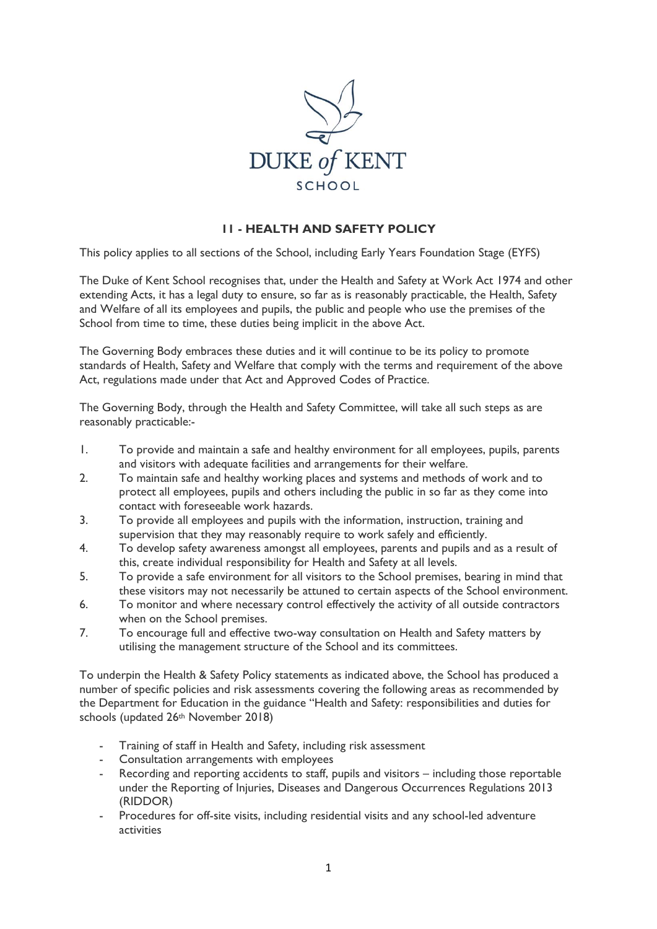

## **11 - HEALTH AND SAFETY POLICY**

This policy applies to all sections of the School, including Early Years Foundation Stage (EYFS)

The Duke of Kent School recognises that, under the Health and Safety at Work Act 1974 and other extending Acts, it has a legal duty to ensure, so far as is reasonably practicable, the Health, Safety and Welfare of all its employees and pupils, the public and people who use the premises of the School from time to time, these duties being implicit in the above Act.

The Governing Body embraces these duties and it will continue to be its policy to promote standards of Health, Safety and Welfare that comply with the terms and requirement of the above Act, regulations made under that Act and Approved Codes of Practice.

The Governing Body, through the Health and Safety Committee, will take all such steps as are reasonably practicable:-

- 1. To provide and maintain a safe and healthy environment for all employees, pupils, parents and visitors with adequate facilities and arrangements for their welfare.
- 2. To maintain safe and healthy working places and systems and methods of work and to protect all employees, pupils and others including the public in so far as they come into contact with foreseeable work hazards.
- 3. To provide all employees and pupils with the information, instruction, training and supervision that they may reasonably require to work safely and efficiently.
- 4. To develop safety awareness amongst all employees, parents and pupils and as a result of this, create individual responsibility for Health and Safety at all levels.
- 5. To provide a safe environment for all visitors to the School premises, bearing in mind that these visitors may not necessarily be attuned to certain aspects of the School environment.
- 6. To monitor and where necessary control effectively the activity of all outside contractors when on the School premises.
- 7. To encourage full and effective two-way consultation on Health and Safety matters by utilising the management structure of the School and its committees.

To underpin the Health & Safety Policy statements as indicated above, the School has produced a number of specific policies and risk assessments covering the following areas as recommended by the Department for Education in the guidance "Health and Safety: responsibilities and duties for schools (updated 26<sup>th</sup> November 2018)

- Training of staff in Health and Safety, including risk assessment
- Consultation arrangements with employees
- Recording and reporting accidents to staff, pupils and visitors including those reportable under the Reporting of Injuries, Diseases and Dangerous Occurrences Regulations 2013 (RIDDOR)
- Procedures for off-site visits, including residential visits and any school-led adventure activities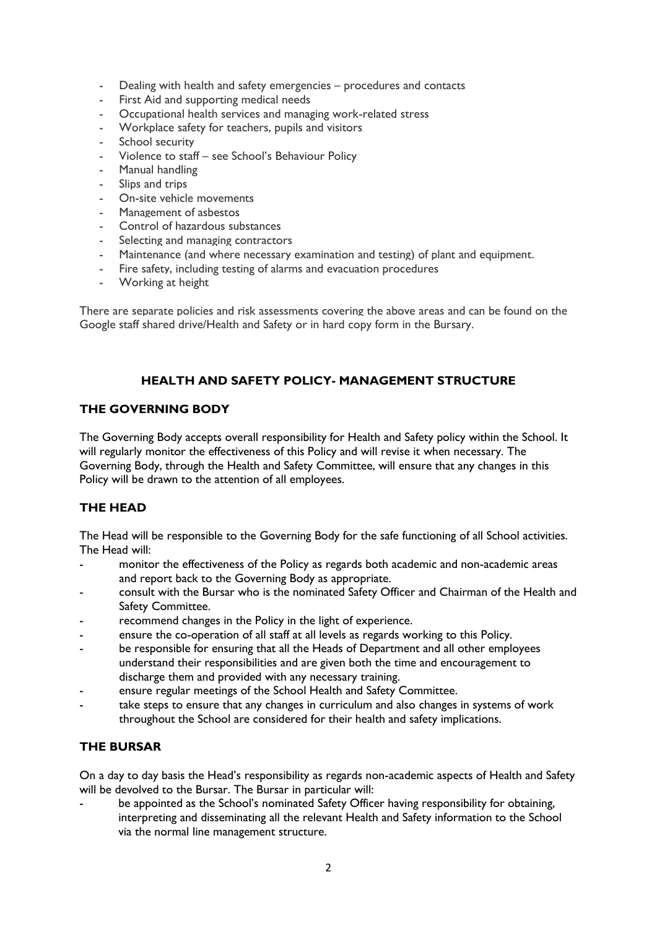- Dealing with health and safety emergencies procedures and contacts
- First Aid and supporting medical needs
- Occupational health services and managing work-related stress
- Workplace safety for teachers, pupils and visitors
- School security
- Violence to staff see School's Behaviour Policy
- Manual handling
- Slips and trips
- On-site vehicle movements
- Management of asbestos
- Control of hazardous substances
- Selecting and managing contractors
- Maintenance (and where necessary examination and testing) of plant and equipment.
- Fire safety, including testing of alarms and evacuation procedures
- Working at height

There are separate policies and risk assessments covering the above areas and can be found on the Google staff shared drive/Health and Safety or in hard copy form in the Bursary.

## **HEALTH AND SAFETY POLICY- MANAGEMENT STRUCTURE**

## **THE GOVERNING BODY**

The Governing Body accepts overall responsibility for Health and Safety policy within the School. It will regularly monitor the effectiveness of this Policy and will revise it when necessary. The Governing Body, through the Health and Safety Committee, will ensure that any changes in this Policy will be drawn to the attention of all employees.

## **THE HEAD**

The Head will be responsible to the Governing Body for the safe functioning of all School activities. The Head will:

- monitor the effectiveness of the Policy as regards both academic and non-academic areas and report back to the Governing Body as appropriate.
- consult with the Bursar who is the nominated Safety Officer and Chairman of the Health and Safety Committee.
- recommend changes in the Policy in the light of experience.
- ensure the co-operation of all staff at all levels as regards working to this Policy.
- be responsible for ensuring that all the Heads of Department and all other employees understand their responsibilities and are given both the time and encouragement to discharge them and provided with any necessary training.
- ensure regular meetings of the School Health and Safety Committee.
- take steps to ensure that any changes in curriculum and also changes in systems of work throughout the School are considered for their health and safety implications.

## **THE BURSAR**

On a day to day basis the Head's responsibility as regards non-academic aspects of Health and Safety will be devolved to the Bursar. The Bursar in particular will:

be appointed as the School's nominated Safety Officer having responsibility for obtaining, interpreting and disseminating all the relevant Health and Safety information to the School via the normal line management structure.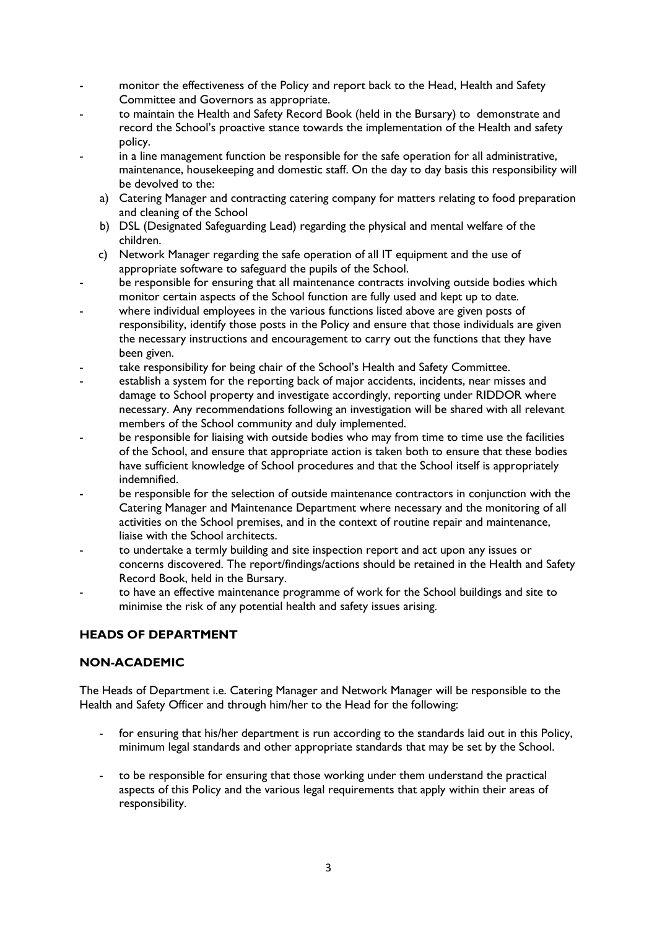- monitor the effectiveness of the Policy and report back to the Head, Health and Safety Committee and Governors as appropriate.
- to maintain the Health and Safety Record Book (held in the Bursary) to demonstrate and record the School's proactive stance towards the implementation of the Health and safety policy.
- in a line management function be responsible for the safe operation for all administrative, maintenance, housekeeping and domestic staff. On the day to day basis this responsibility will be devolved to the:
	- a) Catering Manager and contracting catering company for matters relating to food preparation and cleaning of the School
	- b) DSL (Designated Safeguarding Lead) regarding the physical and mental welfare of the children.
	- c) Network Manager regarding the safe operation of all IT equipment and the use of appropriate software to safeguard the pupils of the School.
- be responsible for ensuring that all maintenance contracts involving outside bodies which monitor certain aspects of the School function are fully used and kept up to date.
- where individual employees in the various functions listed above are given posts of responsibility, identify those posts in the Policy and ensure that those individuals are given the necessary instructions and encouragement to carry out the functions that they have been given.
- take responsibility for being chair of the School's Health and Safety Committee.
- establish a system for the reporting back of major accidents, incidents, near misses and damage to School property and investigate accordingly, reporting under RIDDOR where necessary. Any recommendations following an investigation will be shared with all relevant members of the School community and duly implemented.
- be responsible for liaising with outside bodies who may from time to time use the facilities of the School, and ensure that appropriate action is taken both to ensure that these bodies have sufficient knowledge of School procedures and that the School itself is appropriately indemnified.
- be responsible for the selection of outside maintenance contractors in conjunction with the Catering Manager and Maintenance Department where necessary and the monitoring of all activities on the School premises, and in the context of routine repair and maintenance, liaise with the School architects.
- to undertake a termly building and site inspection report and act upon any issues or concerns discovered. The report/findings/actions should be retained in the Health and Safety Record Book, held in the Bursary.
- to have an effective maintenance programme of work for the School buildings and site to minimise the risk of any potential health and safety issues arising.

# **HEADS OF DEPARTMENT**

# **NON-ACADEMIC**

The Heads of Department i.e. Catering Manager and Network Manager will be responsible to the Health and Safety Officer and through him/her to the Head for the following:

- for ensuring that his/her department is run according to the standards laid out in this Policy, minimum legal standards and other appropriate standards that may be set by the School.
- to be responsible for ensuring that those working under them understand the practical aspects of this Policy and the various legal requirements that apply within their areas of responsibility.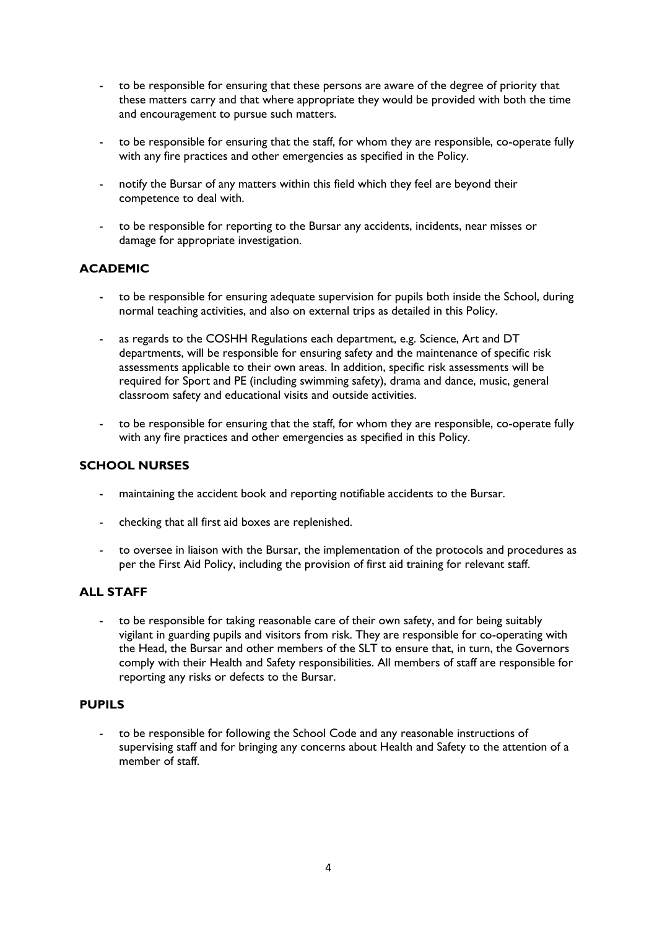- to be responsible for ensuring that these persons are aware of the degree of priority that these matters carry and that where appropriate they would be provided with both the time and encouragement to pursue such matters.
- to be responsible for ensuring that the staff, for whom they are responsible, co-operate fully with any fire practices and other emergencies as specified in the Policy.
- notify the Bursar of any matters within this field which they feel are beyond their competence to deal with.
- to be responsible for reporting to the Bursar any accidents, incidents, near misses or damage for appropriate investigation.

## **ACADEMIC**

- to be responsible for ensuring adequate supervision for pupils both inside the School, during normal teaching activities, and also on external trips as detailed in this Policy.
- as regards to the COSHH Regulations each department, e.g. Science, Art and DT departments, will be responsible for ensuring safety and the maintenance of specific risk assessments applicable to their own areas. In addition, specific risk assessments will be required for Sport and PE (including swimming safety), drama and dance, music, general classroom safety and educational visits and outside activities.
- to be responsible for ensuring that the staff, for whom they are responsible, co-operate fully with any fire practices and other emergencies as specified in this Policy.

## **SCHOOL NURSES**

- maintaining the accident book and reporting notifiable accidents to the Bursar.
- checking that all first aid boxes are replenished.
- to oversee in liaison with the Bursar, the implementation of the protocols and procedures as per the First Aid Policy, including the provision of first aid training for relevant staff.

## **ALL STAFF**

to be responsible for taking reasonable care of their own safety, and for being suitably vigilant in guarding pupils and visitors from risk. They are responsible for co-operating with the Head, the Bursar and other members of the SLT to ensure that, in turn, the Governors comply with their Health and Safety responsibilities. All members of staff are responsible for reporting any risks or defects to the Bursar.

#### **PUPILS**

- to be responsible for following the School Code and any reasonable instructions of supervising staff and for bringing any concerns about Health and Safety to the attention of a member of staff.